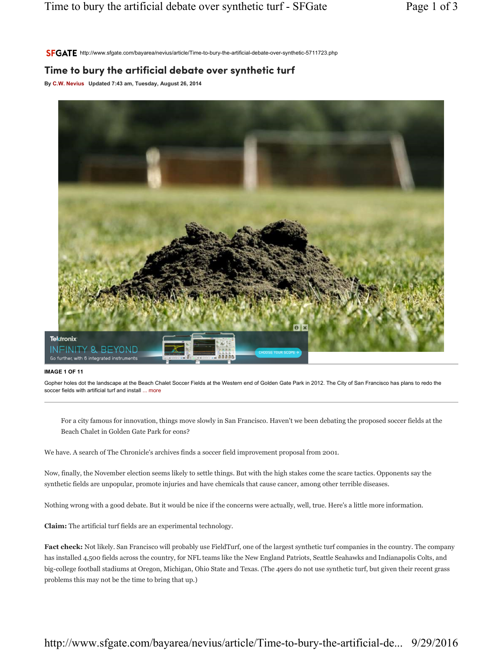SFGATE http://www.sfgate.com/bayarea/nevius/article/Time-to-bury-the-artificial-debate-over-synthetic-5711723.php

## Time to bury the artificial debate over synthetic turf

By C.W. Nevius Updated 7:43 am, Tuesday, August 26, 2014



## IMAGE 1 OF 11

Gopher holes dot the landscape at the Beach Chalet Soccer Fields at the Western end of Golden Gate Park in 2012. The City of San Francisco has plans to redo the soccer fields with artificial turf and install ... more

For a city famous for innovation, things move slowly in San Francisco. Haven't we been debating the proposed soccer fields at the Beach Chalet in Golden Gate Park for eons?

We have. A search of The Chronicle's archives finds a soccer field improvement proposal from 2001.

Now, finally, the November election seems likely to settle things. But with the high stakes come the scare tactics. Opponents say the synthetic fields are unpopular, promote injuries and have chemicals that cause cancer, among other terrible diseases.

Nothing wrong with a good debate. But it would be nice if the concerns were actually, well, true. Here's a little more information.

Claim: The artificial turf fields are an experimental technology.

Fact check: Not likely. San Francisco will probably use FieldTurf, one of the largest synthetic turf companies in the country. The company has installed 4,500 fields across the country, for NFL teams like the New England Patriots, Seattle Seahawks and Indianapolis Colts, and big-college football stadiums at Oregon, Michigan, Ohio State and Texas. (The 49ers do not use synthetic turf, but given their recent grass problems this may not be the time to bring that up.)

## http://www.sfgate.com/bayarea/nevius/article/Time-to-bury-the-artificial-de... 9/29/2016